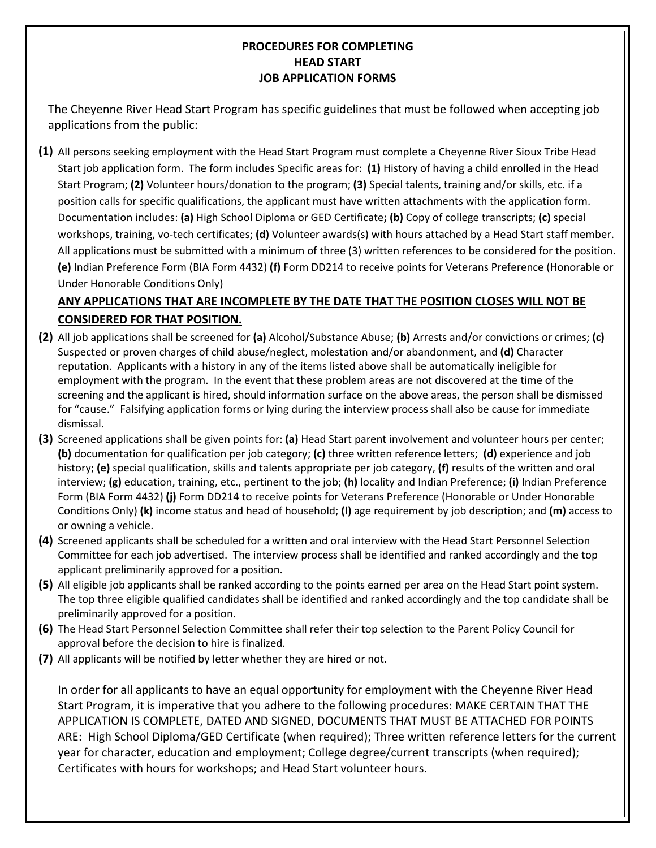## **PROCEDURES FOR COMPLETING HEAD START JOB APPLICATION FORMS**

The Cheyenne River Head Start Program has specific guidelines that must be followed when accepting job applications from the public:

**(1)** All persons seeking employment with the Head Start Program must complete a Cheyenne River Sioux Tribe Head Start job application form. The form includes Specific areas for: **(1)** History of having a child enrolled in the Head Start Program; **(2)** Volunteer hours/donation to the program; **(3)** Special talents, training and/or skills, etc. if a position calls for specific qualifications, the applicant must have written attachments with the application form. Documentation includes: **(a)** High School Diploma or GED Certificate**; (b)** Copy of college transcripts; **(c)** special workshops, training, vo-tech certificates; **(d)** Volunteer awards(s) with hours attached by a Head Start staff member. All applications must be submitted with a minimum of three (3) written references to be considered for the position. **(e)** Indian Preference Form (BIA Form 4432) **(f)** Form DD214 to receive points for Veterans Preference (Honorable or Under Honorable Conditions Only)

# **ANY APPLICATIONS THAT ARE INCOMPLETE BY THE DATE THAT THE POSITION CLOSES WILL NOT BE CONSIDERED FOR THAT POSITION.**

- **(2)** All job applications shall be screened for **(a)** Alcohol/Substance Abuse; **(b)** Arrests and/or convictions or crimes; **(c)** Suspected or proven charges of child abuse/neglect, molestation and/or abandonment, and **(d)** Character reputation. Applicants with a history in any of the items listed above shall be automatically ineligible for employment with the program. In the event that these problem areas are not discovered at the time of the screening and the applicant is hired, should information surface on the above areas, the person shall be dismissed for "cause." Falsifying application forms or lying during the interview process shall also be cause for immediate dismissal.
- **(3)** Screened applications shall be given points for: **(a)** Head Start parent involvement and volunteer hours per center; **(b)** documentation for qualification per job category; **(c)** three written reference letters; **(d)** experience and job history; **(e)** special qualification, skills and talents appropriate per job category, **(f)** results of the written and oral interview; **(g)** education, training, etc., pertinent to the job; **(h)** locality and Indian Preference; **(i)** Indian Preference Form (BIA Form 4432) **(j)** Form DD214 to receive points for Veterans Preference (Honorable or Under Honorable Conditions Only) **(k)** income status and head of household; **(l)** age requirement by job description; and **(m)** access to or owning a vehicle.
- **(4)** Screened applicants shall be scheduled for a written and oral interview with the Head Start Personnel Selection Committee for each job advertised. The interview process shall be identified and ranked accordingly and the top applicant preliminarily approved for a position.
- **(5)** All eligible job applicants shall be ranked according to the points earned per area on the Head Start point system. The top three eligible qualified candidates shall be identified and ranked accordingly and the top candidate shall be preliminarily approved for a position.
- **(6)** The Head Start Personnel Selection Committee shall refer their top selection to the Parent Policy Council for approval before the decision to hire is finalized.
- **(7)** All applicants will be notified by letter whether they are hired or not.

In order for all applicants to have an equal opportunity for employment with the Cheyenne River Head Start Program, it is imperative that you adhere to the following procedures: MAKE CERTAIN THAT THE APPLICATION IS COMPLETE, DATED AND SIGNED, DOCUMENTS THAT MUST BE ATTACHED FOR POINTS ARE: High School Diploma/GED Certificate (when required); Three written reference letters for the current year for character, education and employment; College degree/current transcripts (when required); Certificates with hours for workshops; and Head Start volunteer hours.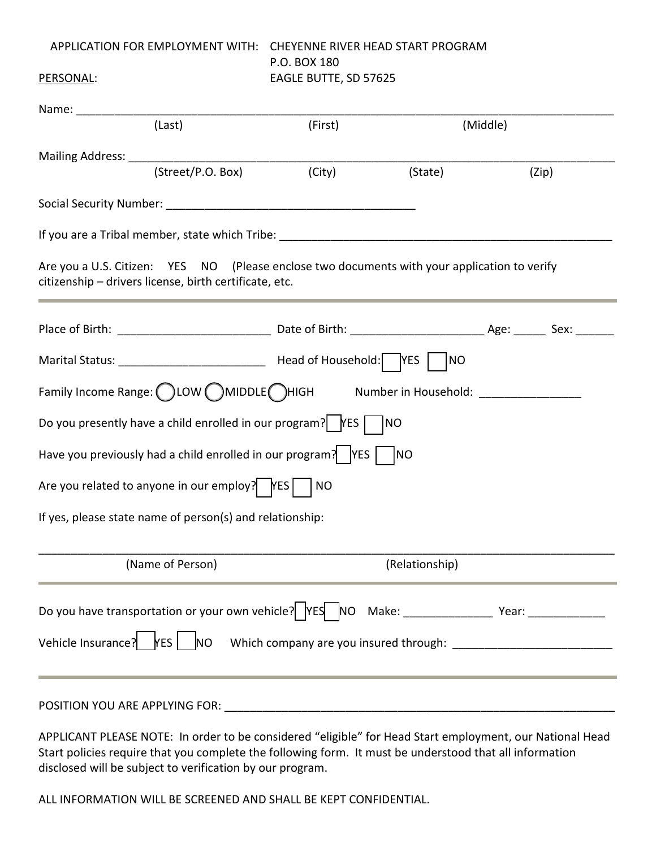## APPLICATION FOR EMPLOYMENT WITH: CHEYENNE RIVER HEAD START PROGRAM P.O. BOX 180 PERSONAL: EAGLE BUTTE, SD 57625

| Name: __________________ |                                                                                                        |         |                                                                                              |                                                                                                      |
|--------------------------|--------------------------------------------------------------------------------------------------------|---------|----------------------------------------------------------------------------------------------|------------------------------------------------------------------------------------------------------|
|                          | (Last)                                                                                                 | (First) |                                                                                              | (Middle)                                                                                             |
|                          |                                                                                                        |         |                                                                                              |                                                                                                      |
|                          | (Street/P.O. Box)                                                                                      | (City)  | (State)                                                                                      | (Zip)                                                                                                |
|                          |                                                                                                        |         |                                                                                              |                                                                                                      |
|                          |                                                                                                        |         |                                                                                              |                                                                                                      |
|                          | citizenship - drivers license, birth certificate, etc.                                                 |         | Are you a U.S. Citizen: YES NO (Please enclose two documents with your application to verify |                                                                                                      |
|                          |                                                                                                        |         |                                                                                              |                                                                                                      |
|                          |                                                                                                        |         | NO                                                                                           |                                                                                                      |
|                          |                                                                                                        |         | Family Income Range: (C)LOW (C)MIDDLE CHIGH Mumber in Household: _______________             |                                                                                                      |
|                          | Do you presently have a child enrolled in our program?   $\vert$   YES                                 |         | <b>INO</b>                                                                                   |                                                                                                      |
|                          | Have you previously had a child enrolled in our program? $\begin{bmatrix} \n\angle \n\end{bmatrix}$ NO |         |                                                                                              |                                                                                                      |
|                          | Are you related to anyone in our employ? $ $ $ $ $ $ $ $ $ $ $ $ NO                                    |         |                                                                                              |                                                                                                      |
|                          | If yes, please state name of person(s) and relationship:                                               |         |                                                                                              |                                                                                                      |
|                          | (Name of Person)                                                                                       |         | (Relationship)                                                                               |                                                                                                      |
|                          |                                                                                                        |         |                                                                                              | Do you have transportation or your own vehicle?   YES   NO Make: _______________ Year: _____________ |
|                          |                                                                                                        |         |                                                                                              | Vehicle Insurance?   YES   NO Which company are you insured through: ______________________________  |
|                          |                                                                                                        |         |                                                                                              |                                                                                                      |

APPLICANT PLEASE NOTE: In order to be considered "eligible" for Head Start employment, our National Head Start policies require that you complete the following form. It must be understood that all information disclosed will be subject to verification by our program.

ALL INFORMATION WILL BE SCREENED AND SHALL BE KEPT CONFIDENTIAL.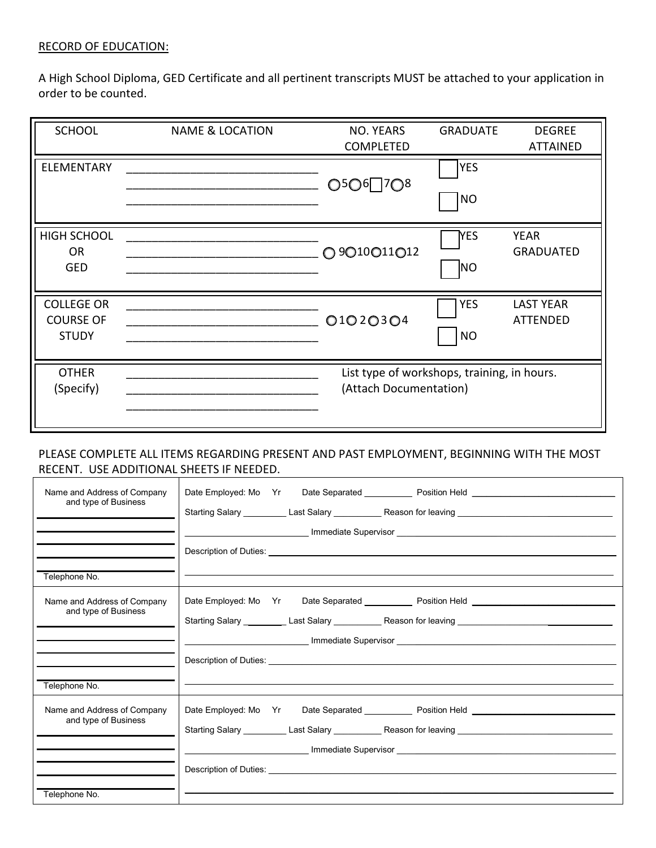#### RECORD OF EDUCATION:

A High School Diploma, GED Certificate and all pertinent transcripts MUST be attached to your application in order to be counted.

| <b>SCHOOL</b>                                         | <b>NAME &amp; LOCATION</b> | NO. YEARS<br><b>COMPLETED</b>                                         | <b>GRADUATE</b>         | <b>DEGREE</b><br><b>ATTAINED</b>    |
|-------------------------------------------------------|----------------------------|-----------------------------------------------------------------------|-------------------------|-------------------------------------|
| <b>ELEMENTARY</b>                                     |                            | ○5○6□7○8                                                              | <b>YES</b><br> NO       |                                     |
| <b>HIGH SCHOOL</b><br><b>OR</b><br><b>GED</b>         |                            | O 9O10O11O12                                                          | <b>YES</b><br><b>NO</b> | <b>YEAR</b><br><b>GRADUATED</b>     |
| <b>COLLEGE OR</b><br><b>COURSE OF</b><br><b>STUDY</b> |                            | O1O2O3O4                                                              | <b>YES</b><br>NO        | <b>LAST YEAR</b><br><b>ATTENDED</b> |
| <b>OTHER</b><br>(Specify)                             |                            | List type of workshops, training, in hours.<br>(Attach Documentation) |                         |                                     |

## PLEASE COMPLETE ALL ITEMS REGARDING PRESENT AND PAST EMPLOYMENT, BEGINNING WITH THE MOST RECENT. USE ADDITIONAL SHEETS IF NEEDED.

| Name and Address of Company | Date Employed: Mo Yr Date Separated ___________ Position Held __________________                                                                                                                                               |  |  |  |
|-----------------------------|--------------------------------------------------------------------------------------------------------------------------------------------------------------------------------------------------------------------------------|--|--|--|
| and type of Business        | Starting Salary __________ Last Salary ___________ Reason for leaving ______________________________                                                                                                                           |  |  |  |
|                             |                                                                                                                                                                                                                                |  |  |  |
|                             |                                                                                                                                                                                                                                |  |  |  |
| Telephone No.               |                                                                                                                                                                                                                                |  |  |  |
| Name and Address of Company |                                                                                                                                                                                                                                |  |  |  |
| and type of Business        | Starting Salary __________ Last Salary ___________ Reason for leaving ______________________________                                                                                                                           |  |  |  |
|                             |                                                                                                                                                                                                                                |  |  |  |
|                             | Description of Duties: Letters and the contract of the contract of the contract of the contract of the contract of the contract of the contract of the contract of the contract of the contract of the contract of the contrac |  |  |  |
| Telephone No.               |                                                                                                                                                                                                                                |  |  |  |
| Name and Address of Company | Date Employed: Mo Yr Date Separated _____________ Position Held _________________                                                                                                                                              |  |  |  |
| and type of Business        | Starting Salary __________ Last Salary ___________ Reason for leaving ______________________________                                                                                                                           |  |  |  |
|                             |                                                                                                                                                                                                                                |  |  |  |
|                             |                                                                                                                                                                                                                                |  |  |  |
| Telephone No.               |                                                                                                                                                                                                                                |  |  |  |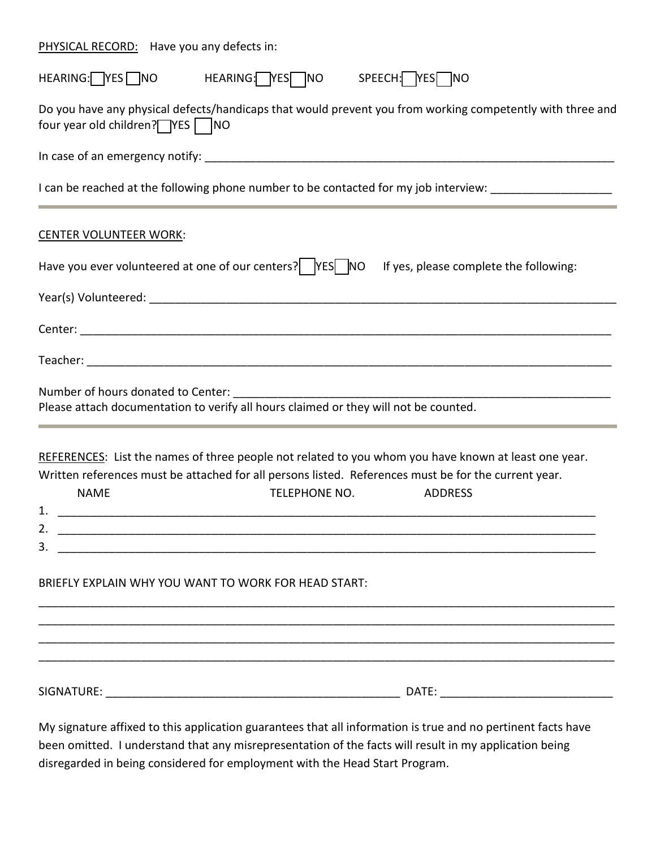PHYSICAL RECORD: Have you any defects in:

| HEARING: YES NO<br>HEARING: YES NO<br>SPEECH: YES NO                                                                                                                                                                                                                                                                   |
|------------------------------------------------------------------------------------------------------------------------------------------------------------------------------------------------------------------------------------------------------------------------------------------------------------------------|
| Do you have any physical defects/handicaps that would prevent you from working competently with three and<br>four year old children? TYES   NO                                                                                                                                                                         |
|                                                                                                                                                                                                                                                                                                                        |
| I can be reached at the following phone number to be contacted for my job interview: ____________________                                                                                                                                                                                                              |
| <b>CENTER VOLUNTEER WORK:</b>                                                                                                                                                                                                                                                                                          |
| Have you ever volunteered at one of our centers? $ $ YES NO If yes, please complete the following:                                                                                                                                                                                                                     |
|                                                                                                                                                                                                                                                                                                                        |
|                                                                                                                                                                                                                                                                                                                        |
|                                                                                                                                                                                                                                                                                                                        |
| Please attach documentation to verify all hours claimed or they will not be counted.                                                                                                                                                                                                                                   |
| REFERENCES: List the names of three people not related to you whom you have known at least one year.<br>Written references must be attached for all persons listed. References must be for the current year.<br>TELEPHONE NO.<br><b>NAME</b><br><b>ADDRESS</b><br>BRIEFLY EXPLAIN WHY YOU WANT TO WORK FOR HEAD START: |
|                                                                                                                                                                                                                                                                                                                        |
|                                                                                                                                                                                                                                                                                                                        |

My signature affixed to this application guarantees that all information is true and no pertinent facts have been omitted. I understand that any misrepresentation of the facts will result in my application being disregarded in being considered for employment with the Head Start Program.